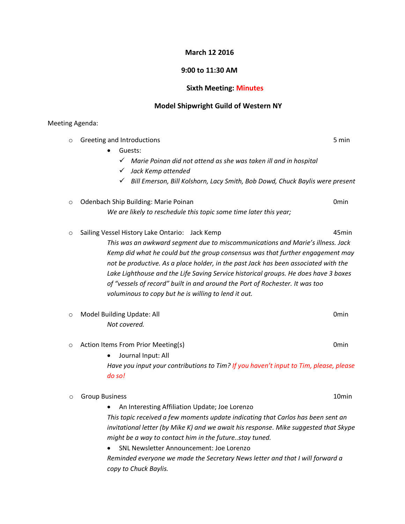## **March 12 2016**

## **9:00 to 11:30 AM**

# **Sixth Meeting: Minutes**

## **Model Shipwright Guild of Western NY**

#### Meeting Agenda:

| $\circ$ | Greeting and Introductions                                                            | 5 min             |
|---------|---------------------------------------------------------------------------------------|-------------------|
|         | Guests:                                                                               |                   |
|         | ✓<br>Marie Poinan did not attend as she was taken ill and in hospital                 |                   |
|         | Jack Kemp attended<br>✓                                                               |                   |
|         | √ Bill Emerson, Bill Kolshorn, Lacy Smith, Bob Dowd, Chuck Baylis were present        |                   |
| $\circ$ | Odenbach Ship Building: Marie Poinan                                                  | 0 <sub>min</sub>  |
|         | We are likely to reschedule this topic some time later this year;                     |                   |
| $\circ$ | Sailing Vessel History Lake Ontario: Jack Kemp                                        | 45min             |
|         | This was an awkward segment due to miscommunications and Marie's illness. Jack        |                   |
|         | Kemp did what he could but the group consensus was that further engagement may        |                   |
|         | not be productive. As a place holder, in the past Jack has been associated with the   |                   |
|         | Lake Lighthouse and the Life Saving Service historical groups. He does have 3 boxes   |                   |
|         | of "vessels of record" built in and around the Port of Rochester. It was too          |                   |
|         | voluminous to copy but he is willing to lend it out.                                  |                   |
| $\circ$ | Model Building Update: All                                                            | 0 <sub>min</sub>  |
|         | Not covered.                                                                          |                   |
| $\circ$ | Action Items From Prior Meeting(s)                                                    | 0 <sub>min</sub>  |
|         | Journal Input: All                                                                    |                   |
|         | Have you input your contributions to Tim? If you haven't input to Tim, please, please |                   |
|         | do so!                                                                                |                   |
| O       | <b>Group Business</b>                                                                 | 10 <sub>min</sub> |
|         | An Interesting Affiliation Update; Joe Lorenzo                                        |                   |
|         | This topic received a few moments update indicating that Carlos has been sent an      |                   |
|         | invitational letter (by Mike K) and we await his response. Mike suggested that Skype  |                   |
|         | might be a way to contact him in the futurestay tuned.                                |                   |
|         | <b>SNL Newsletter Announcement: Joe Lorenzo</b>                                       |                   |

*Reminded everyone we made the Secretary News letter and that I will forward a copy to Chuck Baylis.*